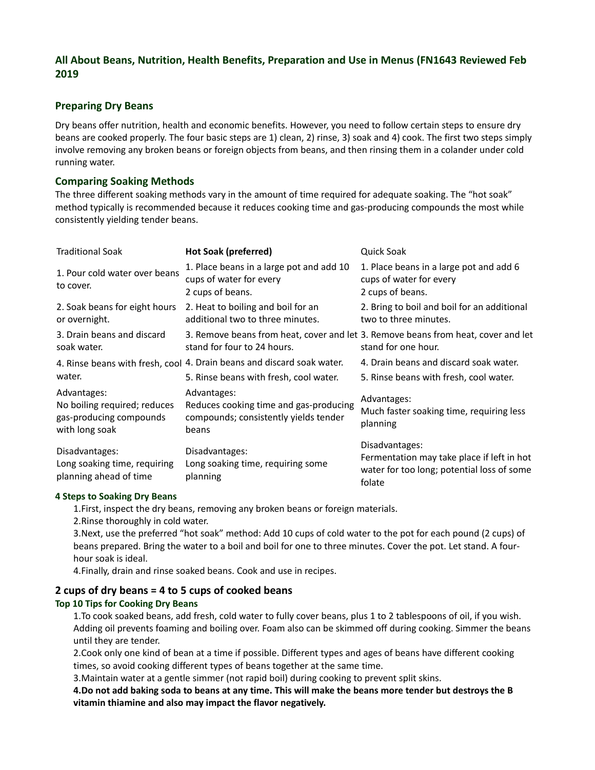# **All About Beans, Nutrition, Health Benefits, Preparation and Use in Menus (FN1643 Reviewed Feb 2019**

## **Preparing Dry Beans**

Dry beans offer nutrition, health and economic benefits. However, you need to follow certain steps to ensure dry beans are cooked properly. The four basic steps are 1) clean, 2) rinse, 3) soak and 4) cook. The first two steps simply involve removing any broken beans or foreign objects from beans, and then rinsing them in a colander under cold running water.

### **Comparing Soaking Methods**

The three different soaking methods vary in the amount of time required for adequate soaking. The "hot soak" method typically is recommended because it reduces cooking time and gas-producing compounds the most while consistently yielding tender beans.

| <b>Traditional Soak</b>                                                                  | <b>Hot Soak (preferred)</b>                                                                             | Quick Soak                                                                                                           |
|------------------------------------------------------------------------------------------|---------------------------------------------------------------------------------------------------------|----------------------------------------------------------------------------------------------------------------------|
| 1. Pour cold water over beans<br>to cover.                                               | 1. Place beans in a large pot and add 10<br>cups of water for every<br>2 cups of beans.                 | 1. Place beans in a large pot and add 6<br>cups of water for every<br>2 cups of beans.                               |
| 2. Soak beans for eight hours<br>or overnight.                                           | 2. Heat to boiling and boil for an<br>additional two to three minutes.                                  | 2. Bring to boil and boil for an additional<br>two to three minutes.                                                 |
| 3. Drain beans and discard<br>soak water.                                                | stand for four to 24 hours.                                                                             | 3. Remove beans from heat, cover and let 3. Remove beans from heat, cover and let<br>stand for one hour.             |
|                                                                                          | 4. Rinse beans with fresh, cool 4. Drain beans and discard soak water.                                  | 4. Drain beans and discard soak water.                                                                               |
| water.                                                                                   | 5. Rinse beans with fresh, cool water.                                                                  | 5. Rinse beans with fresh, cool water.                                                                               |
| Advantages:<br>No boiling required; reduces<br>gas-producing compounds<br>with long soak | Advantages:<br>Reduces cooking time and gas-producing<br>compounds; consistently yields tender<br>beans | Advantages:<br>Much faster soaking time, requiring less<br>planning                                                  |
| Disadvantages:<br>Long soaking time, requiring<br>planning ahead of time                 | Disadvantages:<br>Long soaking time, requiring some<br>planning                                         | Disadvantages:<br>Fermentation may take place if left in hot<br>water for too long; potential loss of some<br>folate |

#### **4 Steps to Soaking Dry Beans**

1.First, inspect the dry beans, removing any broken beans or foreign materials.

2.Rinse thoroughly in cold water.

3.Next, use the preferred "hot soak" method: Add 10 cups of cold water to the pot for each pound (2 cups) of beans prepared. Bring the water to a boil and boil for one to three minutes. Cover the pot. Let stand. A fourhour soak is ideal.

4.Finally, drain and rinse soaked beans. Cook and use in recipes.

#### **2 cups of dry beans = 4 to 5 cups of cooked beans Top 10 Tips for Cooking Dry Beans**

1.To cook soaked beans, add fresh, cold water to fully cover beans, plus 1 to 2 tablespoons of oil, if you wish. Adding oil prevents foaming and boiling over. Foam also can be skimmed off during cooking. Simmer the beans until they are tender.

2.Cook only one kind of bean at a time if possible. Different types and ages of beans have different cooking times, so avoid cooking different types of beans together at the same time.

3.Maintain water at a gentle simmer (not rapid boil) during cooking to prevent split skins.

**4.Do not add baking soda to beans at any time. This will make the beans more tender but destroys the B vitamin thiamine and also may impact the flavor negatively.**